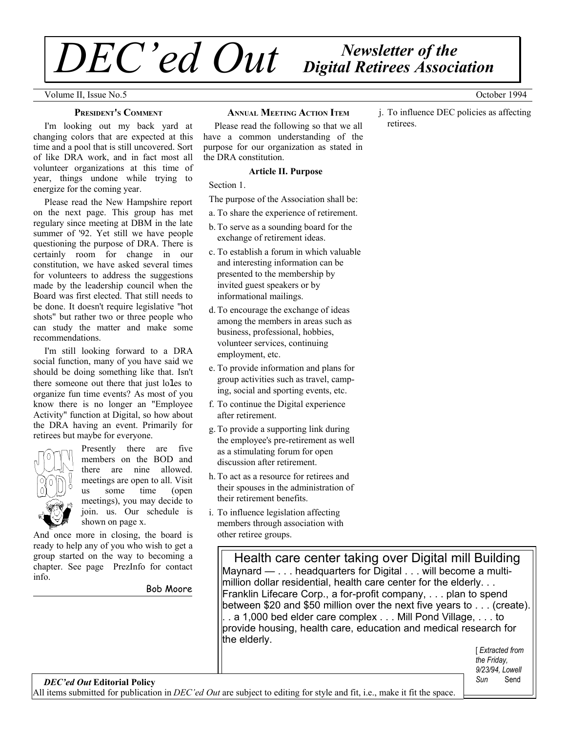# *Newsletter of the DEC'ed Out Digital Retirees Association*

Volume II, Issue No.5 October 1994

### **PRESIDENT'S COMMENT**

I'm looking out my back yard at changing colors that are expected at this time and a pool that is still uncovered. Sort of like DRA work, and in fact most all volunteer organizations at this time of year, things undone while trying to energize for the coming year.

Please read the New Hampshire report on the next page. This group has met regulary since meeting at DBM in the late summer of '92. Yet still we have people questioning the purpose of DRA. There is certainly room for change in our constitution, we have asked several times for volunteers to address the suggestions made by the leadership council when the Board was first elected. That still needs to be done. It doesn't require legislative "hot shots" but rather two or three people who can study the matter and make some recommendations.

I'm still looking forward to a DRA social function, many of you have said we should be doing something like that. Isn't there someone out there that just lo1es to organize fun time events? As most of you know there is no longer an "Employee Activity" function at Digital, so how about the DRA having an event. Primarily for retirees but maybe for everyone.



Presently there are five members on the BOD and there are nine allowed. meetings are open to all. Visit us some time (open meetings), you may decide to join. us. Our schedule is shown on page x.

And once more in closing, the board is ready to help any of you who wish to get a group started on the way to becoming a chapter. See page PrezInfo for contact info.

Bob Moore

### **ANNUAL MEETING ACTION ITEM**

Please read the following so that we all have a common understanding of the purpose for our organization as stated in the DRA constitution.

### **Article II. Purpose**

Section 1.

The purpose of the Association shall be:

- a. To share the experience of retirement.
- b.To serve as a sounding board for the exchange of retirement ideas.
- c. To establish a forum in which valuable and interesting information can be presented to the membership by invited guest speakers or by informational mailings.
- d.To encourage the exchange of ideas among the members in areas such as business, professional, hobbies, volunteer services, continuing employment, etc.
- e. To provide information and plans for group activities such as travel, camping, social and sporting events, etc.
- f. To continue the Digital experience after retirement.
- g.To provide a supporting link during the employee's pre-retirement as well as a stimulating forum for open discussion after retirement.
- h.To act as a resource for retirees and their spouses in the administration of their retirement benefits.
- i. To influence legislation affecting members through association with other retiree groups.

Health care center taking over Digital mill Building Maynard — . . . headquarters for Digital . . . will become a multimillion dollar residential, health care center for the elderly. . . Franklin Lifecare Corp., a for-profit company, . . . plan to spend between \$20 and \$50 million over the next five years to . . . (create). . . a 1,000 bed elder care complex . . . Mill Pond Village, . . . to provide housing, health care, education and medical research for the elderly.

> [ *Extracted from the Friday, 9/23/94, Lowell Sun* Send

j. To influence DEC policies as affecting

retirees.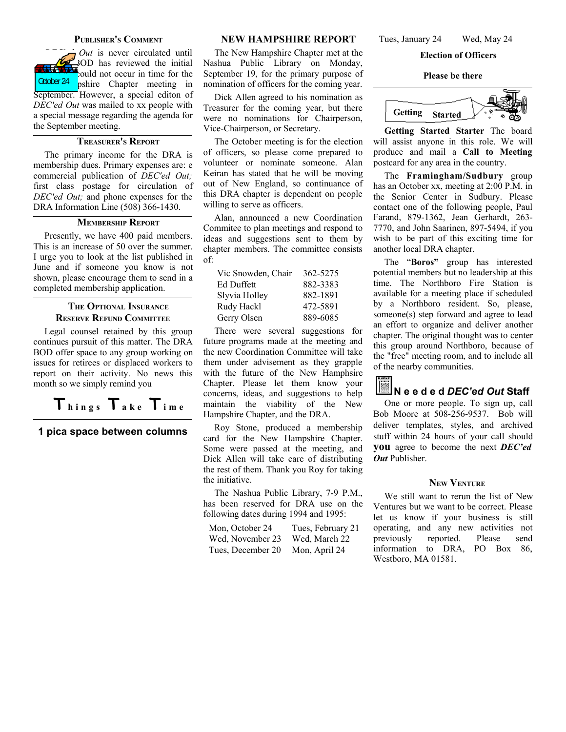### **PUBLISHER'<sup>S</sup> COMMENT**

*Out* is never circulated until 3OD has reviewed the initial  $\frac{1}{2}$  ould not occur in time for the pshire Chapter meeting in September. However, a special editon of *DEC'ed Out* was mailed to xx people with a special message regarding the agenda for the September meeting. October 24

### **TREASURER'S REPORT**

The primary income for the DRA is membership dues. Primary expenses are: e commercial publication of *DEC'ed Out;* first class postage for circulation of *DEC'ed Out;* and phone expenses for the DRA Information Line (508) 366-1430.

### **MEMBERSHIP REPORT**

Presently, we have 400 paid members. This is an increase of 50 over the summer. I urge you to look at the list published in June and if someone you know is not shown, please encourage them to send in a completed membership application.

### **THE OPTIONAL INSURANCE RESERVE REFUND COMMITTEE**

Legal counsel retained by this group continues pursuit of this matter. The DRA BOD offer space to any group working on issues for retirees or displaced workers to report on their activity. No news this month so we simply remind you

## $T_{\text{hings}}$   $T_{\text{ake}}$   $T_{\text{ime}}$

**1 pica space between columns**

### **NEW HAMPSHIRE REPORT**

The New Hampshire Chapter met at the Nashua Public Library on Monday, September 19, for the primary purpose of nomination of officers for the coming year.

Dick Allen agreed to his nomination as Treasurer for the coming year, but there were no nominations for Chairperson, Vice-Chairperson, or Secretary.

The October meeting is for the election of officers, so please come prepared to volunteer or nominate someone. Alan Keiran has stated that he will be moving out of New England, so continuance of this DRA chapter is dependent on people willing to serve as officers.

Alan, announced a new Coordination Commitee to plan meetings and respond to ideas and suggestions sent to them by chapter members. The committee consists of:

| Vic Snowden, Chair | 362-5275 |
|--------------------|----------|
| Ed Duffett         | 882-3383 |
| Slyvia Holley      | 882-1891 |
| Rudy Hackl         | 472-5891 |
| Gerry Olsen        | 889-6085 |

There were several suggestions for future programs made at the meeting and the new Coordination Committee will take them under advisement as they grapple with the future of the New Hamphsire Chapter. Please let them know your concerns, ideas, and suggestions to help maintain the viability of the New Hampshire Chapter, and the DRA.

Roy Stone, produced a membership card for the New Hampshire Chapter. Some were passed at the meeting, and Dick Allen will take care of distributing the rest of them. Thank you Roy for taking the initiative.

The Nashua Public Library, 7-9 P.M., has been reserved for DRA use on the following dates during 1994 and 1995:

| Mon, October 24   | Tues, February 21 |
|-------------------|-------------------|
| Wed, November 23  | Wed, March 22     |
| Tues, December 20 | Mon, April 24     |

Tues, January 24 Wed, May 24

### **Election of Officers**

**Please be there**



**Getting Started Starter** The board will assist anyone in this role. We will produce and mail a **Call to Meeting** postcard for any area in the country.

The **Framingham/Sudbury** group has an October xx, meeting at 2:00 P.M. in the Senior Center in Sudbury. Please contact one of the following people, Paul Farand, 879-1362, Jean Gerhardt, 263- 7770, and John Saarinen, 897-5494, if you wish to be part of this exciting time for another local DRA chapter.

The "**Boros"** group has interested potential members but no leadership at this time. The Northboro Fire Station is available for a meeting place if scheduled by a Northboro resident. So, please, someone(s) step forward and agree to lead an effort to organize and deliver another chapter. The original thought was to center this group around Northboro, because of the "free" meeting room, and to include all of the nearby communities.



One or more people. To sign up, call Bob Moore at 508-256-9537. Bob will deliver templates, styles, and archived stuff within 24 hours of your call should **you** agree to become the next *DEC'ed Out* Publisher.

### **NEW VENTURE**

We still want to rerun the list of New Ventures but we want to be correct. Please let us know if your business is still operating, and any new activities not previously reported. Please send information to DRA, PO Box 86, Westboro, MA 01581.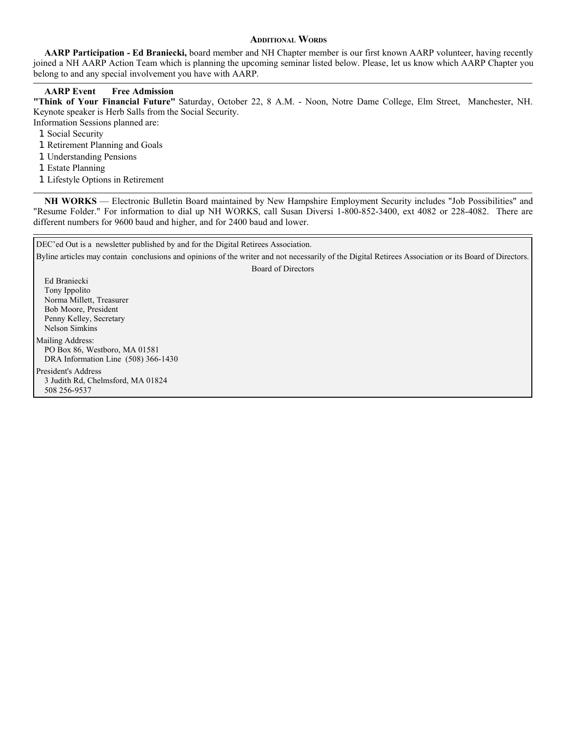### **ADDITIONAL WORDS**

**AARP Participation - Ed Braniecki,** board member and NH Chapter member is our first known AARP volunteer, having recently joined a NH AARP Action Team which is planning the upcoming seminar listed below. Please, let us know which AARP Chapter you belong to and any special involvement you have with AARP.

### **AARP Event Free Admission**

**"Think of Your Financial Future"** Saturday, October 22, 8 A.M. - Noon, Notre Dame College, Elm Street, Manchester, NH. Keynote speaker is Herb Salls from the Social Security.

- Information Sessions planned are:
	- 1 Social Security
	- 1 Retirement Planning and Goals
	- 1 Understanding Pensions
	- 1 Estate Planning
	- 1 Lifestyle Options in Retirement

**NH WORKS** — Electronic Bulletin Board maintained by New Hampshire Employment Security includes "Job Possibilities" and "Resume Folder." For information to dial up NH WORKS, call Susan Diversi 1-800-852-3400, ext 4082 or 228-4082. There are different numbers for 9600 baud and higher, and for 2400 baud and lower.

| DEC'ed Out is a newsletter published by and for the Digital Retirees Association.                                                                     |  |  |  |  |
|-------------------------------------------------------------------------------------------------------------------------------------------------------|--|--|--|--|
| Byline articles may contain conclusions and opinions of the writer and not necessarily of the Digital Retirees Association or its Board of Directors. |  |  |  |  |
| Board of Directors                                                                                                                                    |  |  |  |  |
| Ed Braniecki                                                                                                                                          |  |  |  |  |
| Tony Ippolito                                                                                                                                         |  |  |  |  |
| Norma Millett, Treasurer                                                                                                                              |  |  |  |  |
| Bob Moore, President                                                                                                                                  |  |  |  |  |
| Penny Kelley, Secretary                                                                                                                               |  |  |  |  |
| Nelson Simkins                                                                                                                                        |  |  |  |  |
| Mailing Address:                                                                                                                                      |  |  |  |  |
| PO Box 86, Westboro, MA 01581                                                                                                                         |  |  |  |  |
| DRA Information Line (508) 366-1430                                                                                                                   |  |  |  |  |
| President's Address                                                                                                                                   |  |  |  |  |
| 3 Judith Rd, Chelmsford, MA 01824                                                                                                                     |  |  |  |  |
| 508 256-9537                                                                                                                                          |  |  |  |  |
|                                                                                                                                                       |  |  |  |  |
|                                                                                                                                                       |  |  |  |  |
|                                                                                                                                                       |  |  |  |  |